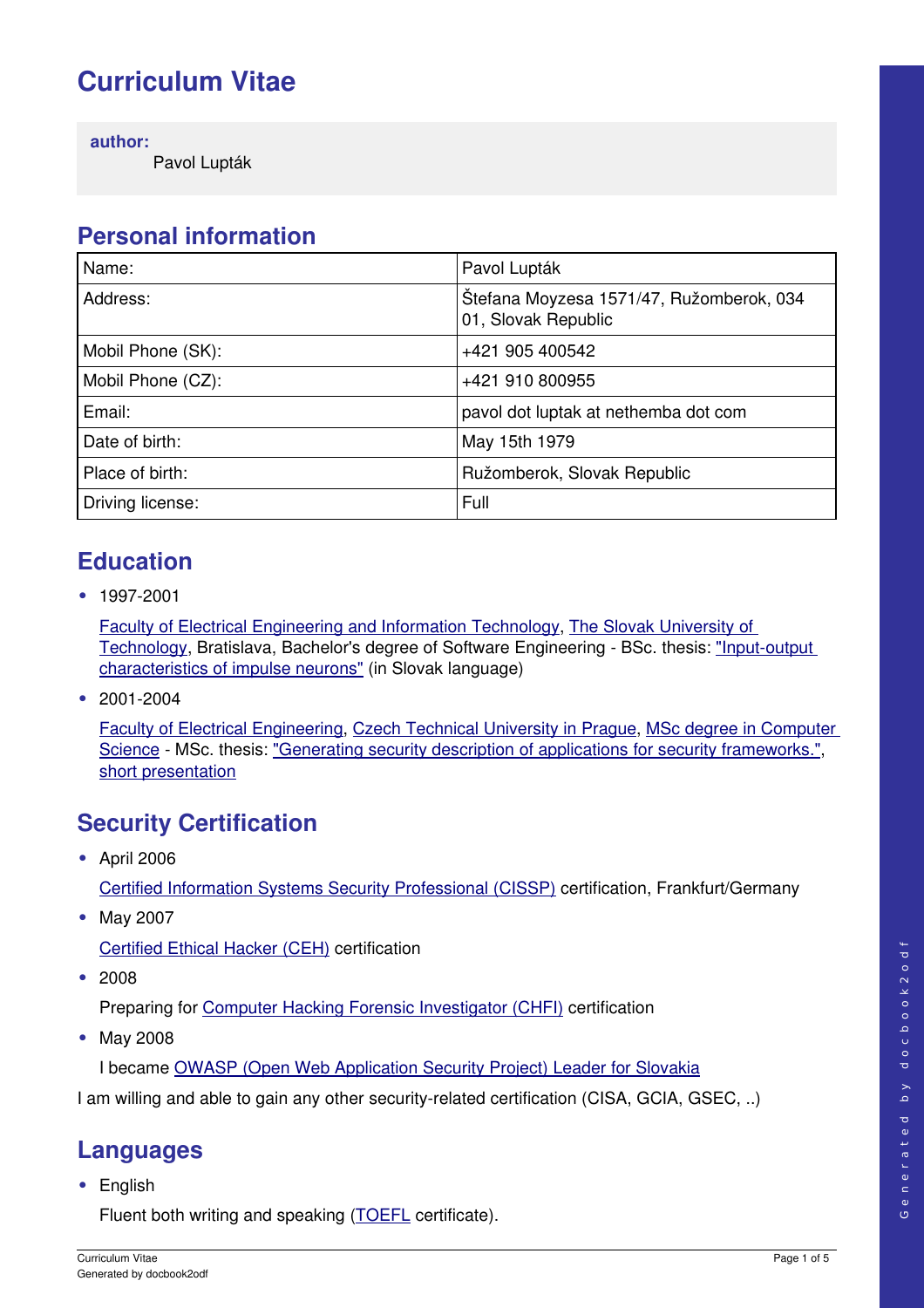# **Curriculum Vitae**

**author:**

Pavol Lupták

## **Personal information**

| Name:             | Pavol Lupták                                                    |
|-------------------|-----------------------------------------------------------------|
| Address:          | Štefana Moyzesa 1571/47, Ružomberok, 034<br>01, Slovak Republic |
| Mobil Phone (SK): | +421 905 400542                                                 |
| Mobil Phone (CZ): | +421 910 800955                                                 |
| Email:            | pavol dot luptak at nethemba dot com                            |
| Date of birth:    | May 15th 1979                                                   |
| Place of birth:   | Ružomberok, Slovak Republic                                     |
| Driving license:  | Full                                                            |

#### **Education**

• 1997-2001

[Faculty of Electrical Engineering and Information Technology,](http://www.fei.stuba.sk/buxus/generate_page.php?page_id=793) [The Slovak University of](http://www.stuba.sk/buxus/generate_page.php?page_id=132) [Technology,](http://www.stuba.sk/buxus/generate_page.php?page_id=132) Bratislava, Bachelor's degree of Software Engineering - BSc. thesis: "Input-output [characteristics of impulse neurons"](http://hq.alert.sk/~wilder/cv/impulse.pdf) (in Slovak language)

• 2001-2004

[Faculty of Electrical Engineering,](http://www.fel.cvut.cz/en/) [Czech Technical University in Prague,](http://www.cvut.cz/Home_en?set_language=en) [MSc degree in Computer](http://hq.alert.sk/~wilder/cv/degrees/degree_2.jpg) [Science](http://hq.alert.sk/~wilder/cv/degrees/degree_2.jpg) - MSc. thesis: ["Generating security description of applications for security frameworks.",](http://hq.alert.sk/~wilder/cv/diploma.pdf) [short presentation](http://hq.alert.sk/~wilder/cv/DP-presentation/)

## **Security Certification**

**•** April 2006

[Certified Information Systems Security Professional \(CISSP\)](http://hq.alert.sk/~wilder/cv/degrees/cissp.jpg) certification, Frankfurt/Germany

**•** May 2007

[Certified Ethical Hacker \(CEH\)](http://hq.alert.sk/~wilder/cv/degrees/CEH-Pavol.Luptak.pdf) certification

**•** 2008

Preparing for [Computer Hacking Forensic Investigator \(CHFI\)](http://www.eccouncil.org/chfi.htm) certification

**•** May 2008

I became [OWASP \(Open Web Application Security Project\) Leader for Slovakia](http://www.owasp.org/index.php/Slovakia)

I am willing and able to gain any other security-related certification (CISA, GCIA, GSEC, ..)

# **Languages**

**•** English

Fluent both writing and speaking [\(TOEFL](http://www.toefl.org/) certificate).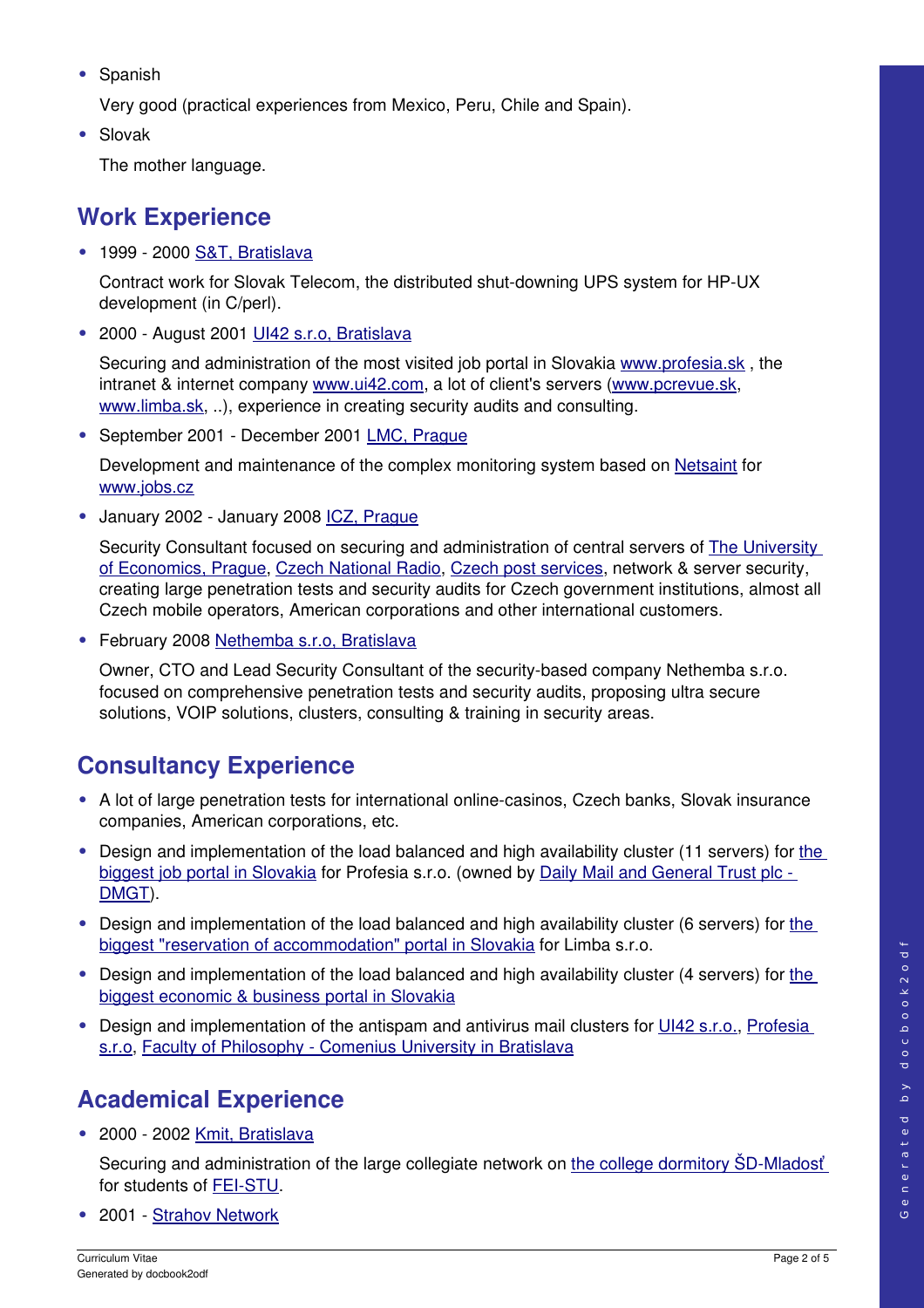**•** Spanish

Very good (practical experiences from Mexico, Peru, Chile and Spain).

**•** Slovak

The mother language.

## **Work Experience**

**•** 1999 2000 [S&T, Bratislava](http://www.snt.sk/)

Contract work for Slovak Telecom, the distributed shut-downing UPS system for HP-UX development (in C/perl).

**•** 2000 August 2001 [UI42 s.r.o, Bratislava](http://www.ui42.com/)

Securing and administration of the most visited job portal in Slovakia www.profesia.sk, the intranet & internet company [www.ui42.com,](http://www.ui42.com/) a lot of client's servers [\(www.pcrevue.sk,](http://www.pcrevue.sk/) [www.limba.sk,](http://www.limba.sk/) ..), experience in creating security audits and consulting.

• September 2001 - December 2001 [LMC, Prague](http://www.lmc.cz/)

Development and maintenance of the complex monitoring system based on [Netsaint](http://www.netsaint.org/) for [www.jobs.cz](http://www.jobs.cz/)

**•** January 2002 January 2008 [ICZ, Prague](http://www.i.cz/)

Security Consultant focused on securing and administration of central servers of **The University** [of Economics, Prague,](http://www.vse.cz/) [Czech National Radio,](http://www.cro.cz/) [Czech post services,](http://www.ceskaposta.cz/) network & server security, creating large penetration tests and security audits for Czech government institutions, almost all Czech mobile operators, American corporations and other international customers.

**•** February 2008 [Nethemba s.r.o, Bratislava](http://www.nethemba.com/)

Owner, CTO and Lead Security Consultant of the security-based company Nethemba s.r.o. focused on comprehensive penetration tests and security audits, proposing ultra secure solutions, VOIP solutions, clusters, consulting & training in security areas.

## **Consultancy Experience**

- A lot of large penetration tests for international online-casinos, Czech banks, Slovak insurance companies, American corporations, etc.
- Design and implementation of [the](http://www.profesia.sk/en/) load balanced and high availability cluster (11 servers) for the [biggest job portal in Slovakia](http://www.profesia.sk/en/) for Profesia s.r.o. (owned by [Daily Mail and General Trust plc](http://www.dmgt.co.uk/aboutdmgt/) -[DMGT\)](http://www.dmgt.co.uk/aboutdmgt/).
- **•** Design and implementation of the load balanced and high availability cluster (6 servers) for [the](http://www.limba.com/) [biggest "reservation of accommodation" portal in Slovakia](http://www.limba.com/) for Limba s.r.o.
- Design and implementation of [the](http://english.etrend.sk/) load balanced and high availability cluster (4 servers) for the [biggest economic & business portal in Slovakia](http://english.etrend.sk/)
- Design and implementation of the antispam and antivirus mail clusters for [UI42 s.r.o.,](http://www.ui42.com/) [Profesia](http://www.profesia.sk/en/) [s.r.o,](http://www.profesia.sk/en/) Faculty of Philosophy - Comenius University in Bratislava

# **Academical Experience**

**•** 2000 2002 [Kmit, Bratislava](http://www.kmit.sk/)

Securing and administration of the large collegiate network on the college dormitory SD-Mladosť for students of FEI-STU.

**•** 2001  [Strahov Network](http://www.sh.cvut.cz/)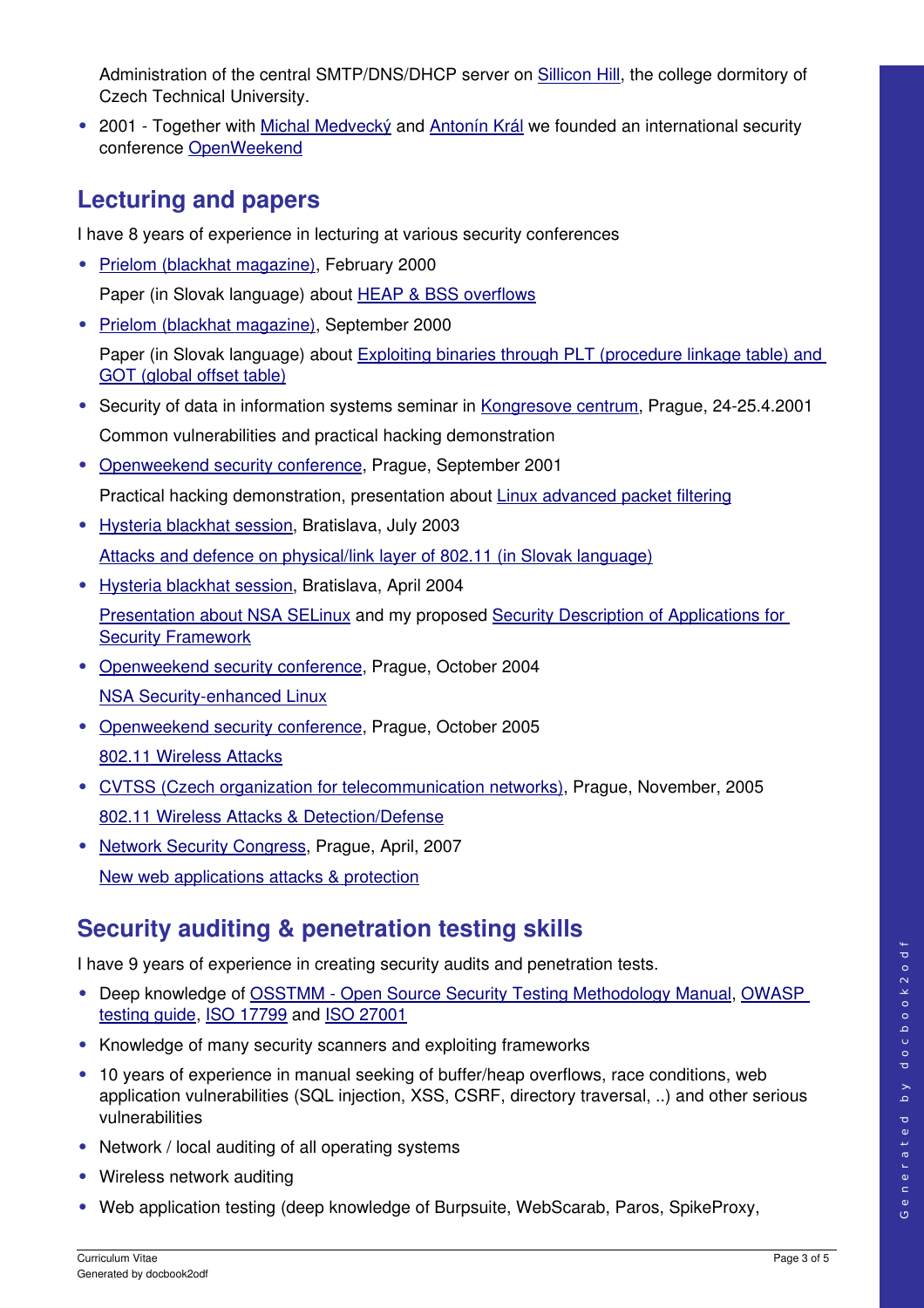Administration of the central SMTP/DNS/DHCP server on [Sillicon Hill,](http://www.sh.cvut.cz/) the college dormitory of Czech Technical University.

• 2001 - Together with [Michal Medvecký](mailto: michal at medvecky dot sk) and [Antonín Král](mailto: A dot Kral at bobe dot cz) we founded an international security conference [OpenWeekend](http://www.openweekend.cz/)

#### **Lecturing and papers**

I have 8 years of experience in lecturing at various security conferences

**•** [Prielom \(blackhat magazine\),](http://www.hysteria.sk/prielom/) February 2000

Paper (in Slovak language) about **HEAP & BSS** overflows

**•** [Prielom \(blackhat magazine\),](http://www.hysteria.sk/prielom/) September 2000

Paper (in Slovak language) about [Exploiting binaries through PLT \(procedure linkage table\) and](http://www.hysteria.sk/prielom/15/#7) [GOT \(global offset table\)](http://www.hysteria.sk/prielom/15/#7)

- Security of data in information systems seminar in [Kongresove centrum,](http://www.kcp.cz/) Prague, 24-25.4.2001 Common vulnerabilities and practical hacking demonstration
- **•** [Openweekend security conference,](http://www.openweekend.cz/) Prague, September 2001

Practical hacking demonstration, presentation about [Linux advanced packet filtering](http://server1.streaming.cesnet.cz:8080/rams/ow2-fw-linux.ram)

- **•** [Hysteria blackhat session,](http://www.hysteria.sk/) Bratislava, July 2003 [Attacks and defence on physical/link layer of 802.11 \(in Slovak language\)](http://hq.alert.sk/~wilder/MITM-hysteria/)
- **•** [Hysteria blackhat session,](http://www.hysteria.sk/) Bratislava, April 2004

[Presentation about NSA SELinux](http://hq.alert.sk/~wilder/SELinux-hysteria/foilgrp01.html) and my proposed [Security Description of Applications for](http://hq.alert.sk/~wilder/cv/diploma.pdf) [Security Framework](http://hq.alert.sk/~wilder/cv/diploma.pdf)

- **•** [Openweekend security conference,](http://www.openweekend.cz/) Prague, October 2004 NSA Security-enhanced Linux
- **•** [Openweekend security conference,](http://www.openweekend.cz/) Prague, October 2005 [802.11 Wireless Attacks](http://www.openweekend.cz/slides/ow_2005/wifi-attacks.pdf)
- **•** [CVTSS \(Czech organization for telecommunication networks\),](http://www.cvtss.cz/) Prague, November, 2005 [802.11 Wireless Attacks & Detection/Defense](http://hq.alert.sk/~wilder/CVTSS/)
- **•** [Network Security Congress,](http://konferencje.software.com.pl/cz/conferences/gigacon/kbskongresbezpecnostisiti.html) Prague, April, 2007 [New web applications attacks & protection](http://hq.alert.sk/~wilder/new_web_attacks.pdf)

## **Security auditing & penetration testing skills**

I have 9 years of experience in creating security audits and penetration tests.

- Deep knowledge of OSSTMM Open Source Security Testing Methodology Manual, [OWASP](http://www.owasp.org/index.php/OWASP_Testing_Guide_v2_Table_of_Contents) [testing guide,](http://www.owasp.org/index.php/OWASP_Testing_Guide_v2_Table_of_Contents) [ISO 17799](http://en.wikipedia.org/wiki/ISO_17799) and [ISO 27001](http://en.wikipedia.org/wiki/ISO_27001)
- **•** Knowledge of many security scanners and exploiting frameworks
- **•** 10 years of experience in manual seeking of buffer/heap overflows, race conditions, web application vulnerabilities (SQL injection, XSS, CSRF, directory traversal, ..) and other serious vulnerabilities
- **•** Network / local auditing of all operating systems
- **•** Wireless network auditing
- **•** Web application testing (deep knowledge of Burpsuite, WebScarab, Paros, SpikeProxy,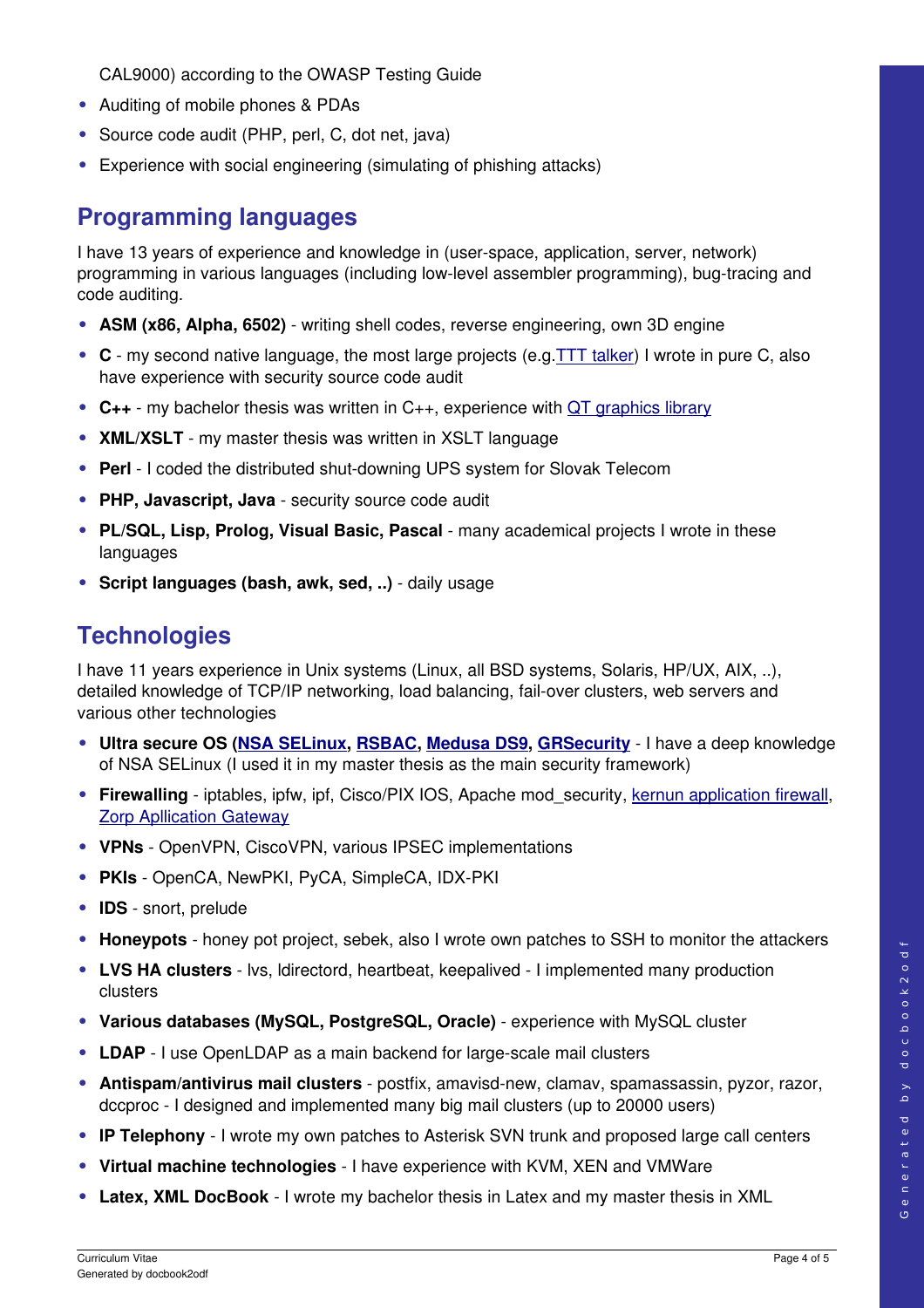CAL9000) according to the OWASP Testing Guide

- **•** Auditing of mobile phones & PDAs
- **•** Source code audit (PHP, perl, C, dot net, java)
- **•** Experience with social engineering (simulating of phishing attacks)

#### **Programming languages**

I have 13 years of experience and knowledge in (userspace, application, server, network) programming in various languages (including low-level assembler programming), bug-tracing and code auditing.

- **• ASM (x86, Alpha, 6502)** writing shell codes, reverse engineering, own 3D engine
- **• C** my second native language, the most large projects (e.g[.TTT talker\)](ssh://ttt.sk) I wrote in pure C, also have experience with security source code audit
- **• C++** my bachelor thesis was written in C++, experience with [QT graphics library](http://www.trolltech.com/products/qt)
- **XML/XSLT** my master thesis was written in XSLT language
- **Perl** I coded the distributed shut-downing UPS system for Slovak Telecom
- PHP, Javascript, Java security source code audit
- **PL/SQL, Lisp, Prolog, Visual Basic, Pascal** many academical projects I wrote in these languages
- **• Script languages (bash, awk, sed, ..)** daily usage

#### **Technologies**

I have 11 years experience in Unix systems (Linux, all BSD systems, Solaris, HP/UX, AIX, ..), detailed knowledge of TCP/IP networking, load balancing, fail-over clusters, web servers and various other technologies

- **• Ultra secure OS [\(NSA SELinux,](http://www.nsa.gov/selinux/) [RSBAC,](http://www.rsbac.org/) [Medusa DS9,](http://medusa.fornax.sk/) [GRSecurity](http://www.grsecurity.net/)** I have a deep knowledge of NSA SELinux (I used it in my master thesis as the main security framework)
- **Firewalling** iptables, ipfw, ipf, Cisco/PIX IOS, Apache mod security, [kernun application firewall,](http://www.tns.cz/english.html) [Zorp Apllication Gateway](http://www.balabit.com/products/zorp/)
- **• VPNs** OpenVPN, CiscoVPN, various IPSEC implementations
- **• PKIs** OpenCA, NewPKI, PyCA, SimpleCA, IDX-PKI
- **IDS** snort, prelude
- **• Honeypots** honey pot project, sebek, also I wrote own patches to SSH to monitor the attackers
- LVS HA clusters lvs, Idirectord, heartbeat, keepalived I implemented many production clusters
- **• Various databases (MySQL, PostgreSQL, Oracle)** experience with MySQL cluster
- LDAP I use OpenLDAP as a main backend for large-scale mail clusters
- **Antispam/antivirus mail clusters** postfix, amavisd-new, clamay, spamassassin, pyzor, razor, dccproc - I designed and implemented many big mail clusters (up to 20000 users)
- **• IP Telephony** I wrote my own patches to Asterisk SVN trunk and proposed large call centers
- **• Virtual machine technologies** I have experience with KVM, XEN and VMWare
- **• Latex, XML DocBook** I wrote my bachelor thesis in Latex and my master thesis in XML